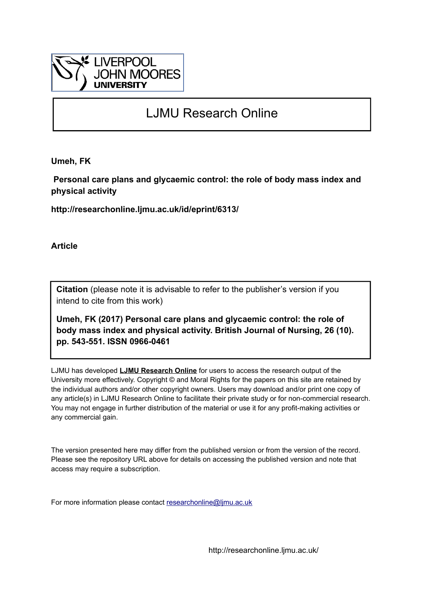

# LJMU Research Online

**Umeh, FK**

 **Personal care plans and glycaemic control: the role of body mass index and physical activity**

**http://researchonline.ljmu.ac.uk/id/eprint/6313/**

**Article**

**Citation** (please note it is advisable to refer to the publisher's version if you intend to cite from this work)

**Umeh, FK (2017) Personal care plans and glycaemic control: the role of body mass index and physical activity. British Journal of Nursing, 26 (10). pp. 543-551. ISSN 0966-0461** 

LJMU has developed **[LJMU Research Online](http://researchonline.ljmu.ac.uk/)** for users to access the research output of the University more effectively. Copyright © and Moral Rights for the papers on this site are retained by the individual authors and/or other copyright owners. Users may download and/or print one copy of any article(s) in LJMU Research Online to facilitate their private study or for non-commercial research. You may not engage in further distribution of the material or use it for any profit-making activities or any commercial gain.

The version presented here may differ from the published version or from the version of the record. Please see the repository URL above for details on accessing the published version and note that access may require a subscription.

For more information please contact [researchonline@ljmu.ac.uk](mailto:researchonline@ljmu.ac.uk)

http://researchonline.ljmu.ac.uk/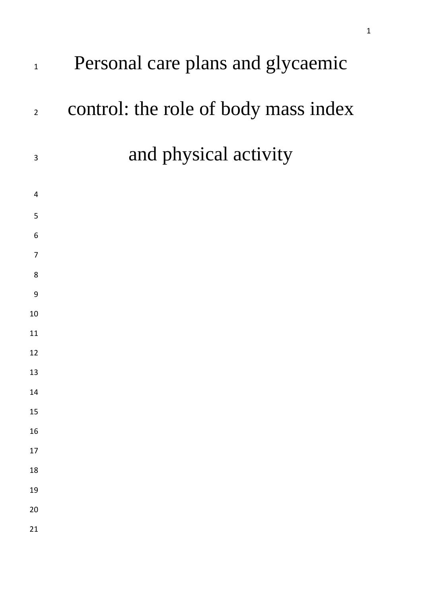| $\mathbf{1}$   | Personal care plans and glycaemic    |
|----------------|--------------------------------------|
| $\overline{2}$ | control: the role of body mass index |
| $\mathbf{3}$   | and physical activity                |
| 4              |                                      |
| 5              |                                      |
| 6              |                                      |
| 7              |                                      |
| 8              |                                      |
| 9              |                                      |
| 10             |                                      |
| 11             |                                      |
| 12             |                                      |
| 13             |                                      |
| 14             |                                      |
| 15             |                                      |
| 16             |                                      |
| 17             |                                      |
| 18             |                                      |
| 19             |                                      |
| 20             |                                      |
| 21             |                                      |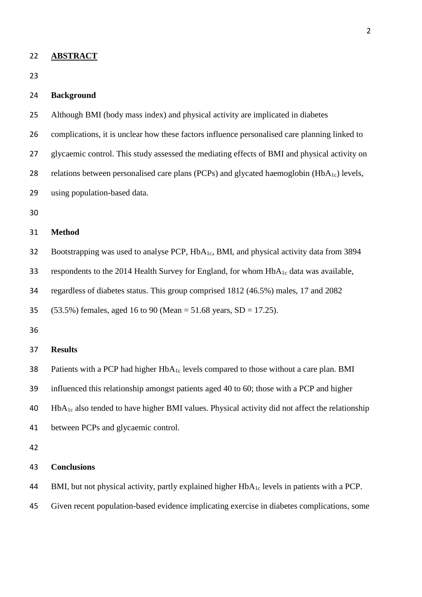**ABSTRACT**

#### **Background**

- Although BMI (body mass index) and physical activity are implicated in diabetes
- complications, it is unclear how these factors influence personalised care planning linked to
- glycaemic control. This study assessed the mediating effects of BMI and physical activity on
- 28 relations between personalised care plans (PCPs) and glycated haemoglobin (HbA<sub>1c</sub>) levels,
- using population-based data.
- 

## **Method**

32 Bootstrapping was used to analyse PCP, HbA<sub>1c</sub>, BMI, and physical activity data from 3894

33 respondents to the 2014 Health Survey for England, for whom  $HbA_{1c}$  data was available,

regardless of diabetes status. This group comprised 1812 (46.5%) males, 17 and 2082

(53.5%) females, aged 16 to 90 (Mean = 51.68 years, SD = 17.25).

#### **Results**

38 Patients with a PCP had higher  $HbA_{1c}$  levels compared to those without a care plan. BMI

influenced this relationship amongst patients aged 40 to 60; those with a PCP and higher

HbA<sub>1c</sub> also tended to have higher BMI values. Physical activity did not affect the relationship

between PCPs and glycaemic control.

## **Conclusions**

44 BMI, but not physical activity, partly explained higher  $HbA_{1c}$  levels in patients with a PCP.

Given recent population-based evidence implicating exercise in diabetes complications, some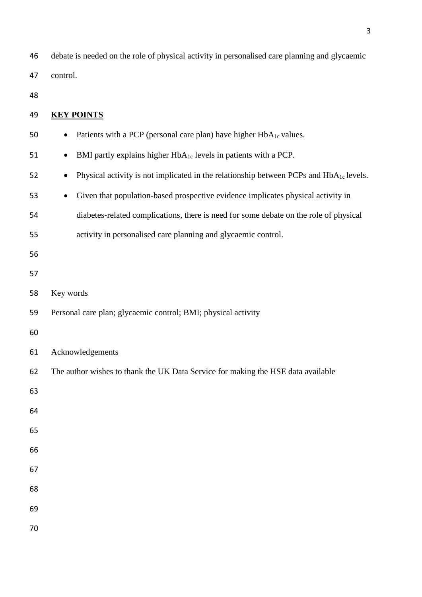debate is needed on the role of physical activity in personalised care planning and glycaemic control.

| 49 | <b>KEY POINTS</b>                                                                                               |
|----|-----------------------------------------------------------------------------------------------------------------|
| 50 | Patients with a PCP (personal care plan) have higher HbA <sub>1c</sub> values.<br>$\bullet$                     |
| 51 | BMI partly explains higher HbA <sub>1c</sub> levels in patients with a PCP.<br>$\bullet$                        |
| 52 | Physical activity is not implicated in the relationship between PCPs and HbA <sub>1c</sub> levels.<br>$\bullet$ |
| 53 | Given that population-based prospective evidence implicates physical activity in<br>$\bullet$                   |
| 54 | diabetes-related complications, there is need for some debate on the role of physical                           |
| 55 | activity in personalised care planning and glycaemic control.                                                   |
| 56 |                                                                                                                 |
| 57 |                                                                                                                 |
| 58 | Key words                                                                                                       |
| 59 | Personal care plan; glycaemic control; BMI; physical activity                                                   |
| 60 |                                                                                                                 |
| 61 | Acknowledgements                                                                                                |
| 62 | The author wishes to thank the UK Data Service for making the HSE data available                                |
| 63 |                                                                                                                 |
| 64 |                                                                                                                 |
| 65 |                                                                                                                 |
| 66 |                                                                                                                 |
| 67 |                                                                                                                 |
| 68 |                                                                                                                 |
| 69 |                                                                                                                 |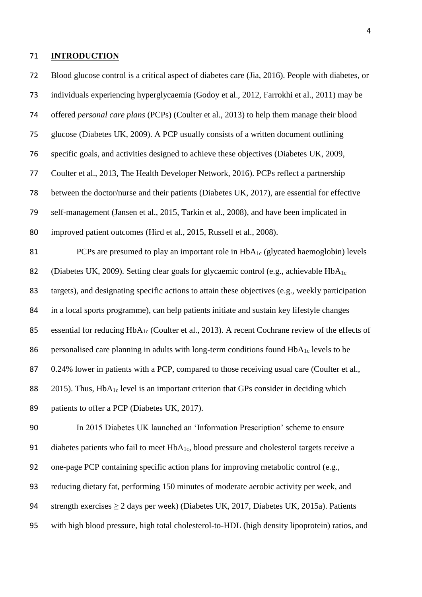#### **INTRODUCTION**

 Blood glucose control is a critical aspect of diabetes care (Jia, 2016). People with diabetes, or individuals experiencing hyperglycaemia (Godoy et al., 2012, Farrokhi et al., 2011) may be offered *personal care plans* (PCPs) (Coulter et al., 2013) to help them manage their blood glucose (Diabetes UK, 2009). A PCP usually consists of a written document outlining specific goals, and activities designed to achieve these objectives (Diabetes UK, 2009, Coulter et al., 2013, The Health Developer Network, 2016). PCPs reflect a partnership between the doctor/nurse and their patients (Diabetes UK, 2017), are essential for effective self-management (Jansen et al., 2015, Tarkin et al., 2008), and have been implicated in improved patient outcomes (Hird et al., 2015, Russell et al., 2008). 81 PCPs are presumed to play an important role in HbA<sub>1c</sub> (glycated haemoglobin) levels 82 (Diabetes UK, 2009). Setting clear goals for glycaemic control (e.g., achievable  $HbA_{1c}$  targets), and designating specific actions to attain these objectives (e.g., weekly participation in a local sports programme), can help patients initiate and sustain key lifestyle changes 85 essential for reducing  $HbA_{1c}$  (Coulter et al., 2013). A recent Cochrane review of the effects of 86 personalised care planning in adults with long-term conditions found  $HbA_{1c}$  levels to be 87 0.24% lower in patients with a PCP, compared to those receiving usual care (Coulter et al., 88 2015). Thus, HbA<sub>1c</sub> level is an important criterion that GPs consider in deciding which 89 patients to offer a PCP (Diabetes UK, 2017). In 2015 Diabetes UK launched an 'Information Prescription' scheme to ensure 91 diabetes patients who fail to meet  $HbA_{1c}$ , blood pressure and cholesterol targets receive a one-page PCP containing specific action plans for improving metabolic control (e.g., reducing dietary fat, performing 150 minutes of moderate aerobic activity per week, and

94 strength exercises  $\geq 2$  days per week) (Diabetes UK, 2017, Diabetes UK, 2015a). Patients

with high blood pressure, high total cholesterol-to-HDL (high density lipoprotein) ratios, and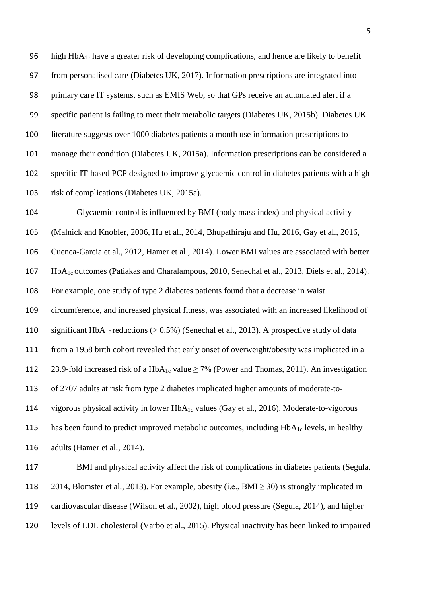96 high Hb $A_{1c}$  have a greater risk of developing complications, and hence are likely to benefit from personalised care (Diabetes UK, 2017). Information prescriptions are integrated into primary care IT systems, such as EMIS Web, so that GPs receive an automated alert if a specific patient is failing to meet their metabolic targets (Diabetes UK, 2015b). Diabetes UK literature suggests over 1000 diabetes patients a month use information prescriptions to manage their condition (Diabetes UK, 2015a). Information prescriptions can be considered a specific IT-based PCP designed to improve glycaemic control in diabetes patients with a high risk of complications (Diabetes UK, 2015a).

 Glycaemic control is influenced by BMI (body mass index) and physical activity (Malnick and Knobler, 2006, Hu et al., 2014, Bhupathiraju and Hu, 2016, Gay et al., 2016, Cuenca-Garcia et al., 2012, Hamer et al., 2014). Lower BMI values are associated with better HbA1c outcomes (Patiakas and Charalampous, 2010, Senechal et al., 2013, Diels et al., 2014). For example, one study of type 2 diabetes patients found that a decrease in waist circumference, and increased physical fitness, was associated with an increased likelihood of 110 significant HbA<sub>1c</sub> reductions ( $> 0.5\%$ ) (Senechal et al., 2013). A prospective study of data from a 1958 birth cohort revealed that early onset of overweight/obesity was implicated in a 112 23.9-fold increased risk of a HbA<sub>1c</sub> value  $\geq$  7% (Power and Thomas, 2011). An investigation of 2707 adults at risk from type 2 diabetes implicated higher amounts of moderate-to-114 vigorous physical activity in lower  $HbA_{1c}$  values (Gay et al., 2016). Moderate-to-vigorous 115 has been found to predict improved metabolic outcomes, including  $HbA_{1c}$  levels, in healthy adults (Hamer et al., 2014).

 BMI and physical activity affect the risk of complications in diabetes patients (Segula, 118 2014, Blomster et al., 2013). For example, obesity (i.e., BMI  $\geq$  30) is strongly implicated in cardiovascular disease (Wilson et al., 2002), high blood pressure (Segula, 2014), and higher levels of LDL cholesterol (Varbo et al., 2015). Physical inactivity has been linked to impaired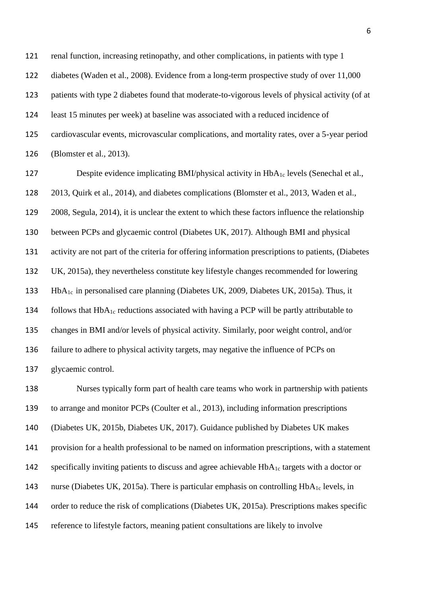renal function, increasing retinopathy, and other complications, in patients with type 1 diabetes (Waden et al., 2008). Evidence from a long-term prospective study of over 11,000 patients with type 2 diabetes found that moderate-to-vigorous levels of physical activity (of at least 15 minutes per week) at baseline was associated with a reduced incidence of cardiovascular events, microvascular complications, and mortality rates, over a 5-year period (Blomster et al., 2013).

127 Despite evidence implicating BMI/physical activity in HbA<sub>1c</sub> levels (Senechal et al., 2013, Quirk et al., 2014), and diabetes complications (Blomster et al., 2013, Waden et al., 2008, Segula, 2014), it is unclear the extent to which these factors influence the relationship between PCPs and glycaemic control (Diabetes UK, 2017). Although BMI and physical activity are not part of the criteria for offering information prescriptions to patients, (Diabetes UK, 2015a), they nevertheless constitute key lifestyle changes recommended for lowering HbA1c in personalised care planning (Diabetes UK, 2009, Diabetes UK, 2015a). Thus, it 134 follows that  $HbA_{1c}$  reductions associated with having a PCP will be partly attributable to changes in BMI and/or levels of physical activity. Similarly, poor weight control, and/or failure to adhere to physical activity targets, may negative the influence of PCPs on glycaemic control.

 Nurses typically form part of health care teams who work in partnership with patients to arrange and monitor PCPs (Coulter et al., 2013), including information prescriptions (Diabetes UK, 2015b, Diabetes UK, 2017). Guidance published by Diabetes UK makes provision for a health professional to be named on information prescriptions, with a statement 142 specifically inviting patients to discuss and agree achievable  $HbA_{1c}$  targets with a doctor or 143 nurse (Diabetes UK, 2015a). There is particular emphasis on controlling  $HbA_{1c}$  levels, in order to reduce the risk of complications (Diabetes UK, 2015a). Prescriptions makes specific reference to lifestyle factors, meaning patient consultations are likely to involve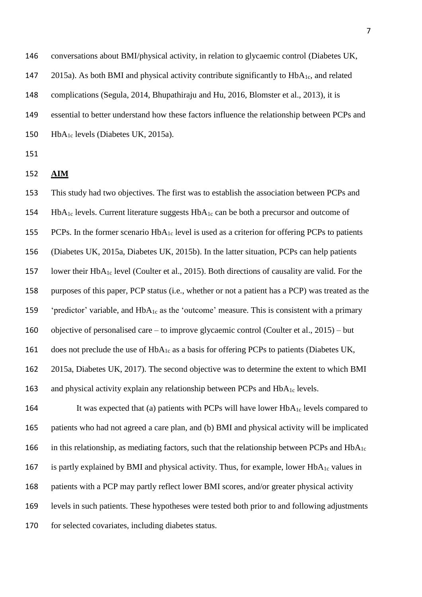conversations about BMI/physical activity, in relation to glycaemic control (Diabetes UK,  $2015a$ ). As both BMI and physical activity contribute significantly to  $HbA<sub>1c</sub>$ , and related complications (Segula, 2014, Bhupathiraju and Hu, 2016, Blomster et al., 2013), it is essential to better understand how these factors influence the relationship between PCPs and 150 HbA<sub>1c</sub> levels (Diabetes UK, 2015a).

- 151
- 152 **AIM**

153 This study had two objectives. The first was to establish the association between PCPs and 154 HbA<sub>1c</sub> levels. Current literature suggests  $HbA_{1c}$  can be both a precursor and outcome of 155 PCPs. In the former scenario  $HbA_{1c}$  level is used as a criterion for offering PCPs to patients 156 (Diabetes UK, 2015a, Diabetes UK, 2015b). In the latter situation, PCPs can help patients 157 lower their HbA1c level (Coulter et al., 2015). Both directions of causality are valid. For the 158 purposes of this paper, PCP status (i.e., whether or not a patient has a PCP) was treated as the 159 'predictor' variable, and  $HbA_{1c}$  as the 'outcome' measure. This is consistent with a primary 160 objective of personalised care – to improve glycaemic control (Coulter et al., 2015) – but 161 does not preclude the use of  $HbA_{1c}$  as a basis for offering PCPs to patients (Diabetes UK, 162 2015a, Diabetes UK, 2017). The second objective was to determine the extent to which BMI 163 and physical activity explain any relationship between PCPs and HbA<sub>1c</sub> levels.

164 It was expected that (a) patients with PCPs will have lower  $HbA_{1c}$  levels compared to 165 patients who had not agreed a care plan, and (b) BMI and physical activity will be implicated 166 in this relationship, as mediating factors, such that the relationship between PCPs and  $HbA_{1c}$ 167 is partly explained by BMI and physical activity. Thus, for example, lower  $HbA_{1c}$  values in 168 patients with a PCP may partly reflect lower BMI scores, and/or greater physical activity 169 levels in such patients. These hypotheses were tested both prior to and following adjustments 170 for selected covariates, including diabetes status.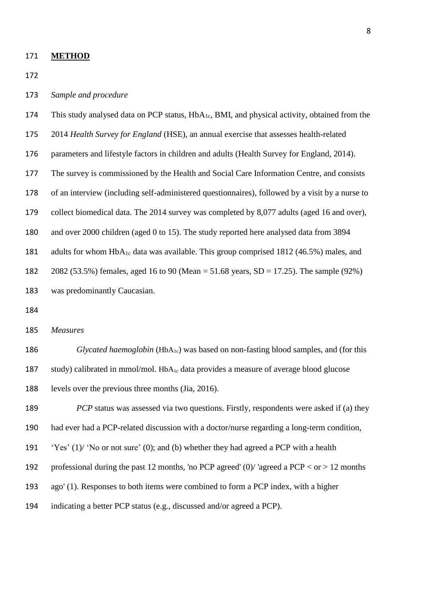**METHOD**

- *Sample and procedure*
- This study analysed data on PCP status, HbA1c, BMI, and physical activity, obtained from the
- 2014 *Health Survey for England* (HSE), an annual exercise that assesses health-related
- parameters and lifestyle factors in children and adults (Health Survey for England, 2014).
- The survey is commissioned by the Health and Social Care Information Centre, and consists
- of an interview (including self-administered questionnaires), followed by a visit by a nurse to
- collect biomedical data. The 2014 survey was completed by 8,077 adults (aged 16 and over),
- and over 2000 children (aged 0 to 15). The study reported here analysed data from 3894
- 181 adults for whom  $HbA_{1c}$  data was available. This group comprised 1812 (46.5%) males, and
- 2082 (53.5%) females, aged 16 to 90 (Mean = 51.68 years, SD = 17.25). The sample (92%)
- was predominantly Caucasian.
- 
- *Measures*
- 186 *Glycated haemoglobin* (HbA<sub>1c</sub>) was based on non-fasting blood samples, and (for this 187 study) calibrated in mmol/mol.  $HbA_{1c}$  data provides a measure of average blood glucose levels over the previous three months (Jia, 2016).
- *PCP* status was assessed via two questions. Firstly, respondents were asked if (a) they
- had ever had a PCP-related discussion with a doctor/nurse regarding a long-term condition,
- 'Yes' (1)/ 'No or not sure' (0); and (b) whether they had agreed a PCP with a health
- 192 professional during the past 12 months, 'no PCP agreed' (0)/ 'agreed a PCP  $\langle$  or  $> 12$  months
- ago' (1). Responses to both items were combined to form a PCP index, with a higher
- indicating a better PCP status (e.g., discussed and/or agreed a PCP).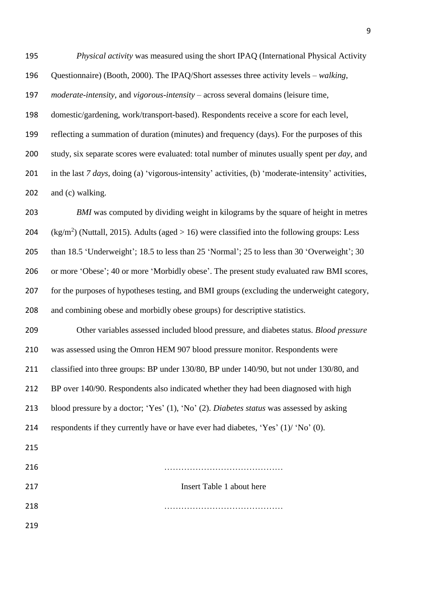*Physical activity* was measured using the short IPAQ (International Physical Activity Questionnaire) (Booth, 2000). The IPAQ/Short assesses three activity levels – *walking*, *moderate-intensity*, and *vigorous-intensity* – across several domains (leisure time, domestic/gardening, work/transport-based). Respondents receive a score for each level, reflecting a summation of duration (minutes) and frequency (days). For the purposes of this study, six separate scores were evaluated: total number of minutes usually spent per *day*, and in the last *7 days*, doing (a) 'vigorous-intensity' activities, (b) 'moderate-intensity' activities, 202 and (c) walking. *BMI* was computed by dividing weight in kilograms by the square of height in metres

204 (kg/m<sup>2</sup>) (Nuttall, 2015). Adults (aged  $> 16$ ) were classified into the following groups: Less than 18.5 'Underweight'; 18.5 to less than 25 'Normal'; 25 to less than 30 'Overweight'; 30 206 or more 'Obese'; 40 or more 'Morbidly obese'. The present study evaluated raw BMI scores, for the purposes of hypotheses testing, and BMI groups (excluding the underweight category,

and combining obese and morbidly obese groups) for descriptive statistics.

 Other variables assessed included blood pressure, and diabetes status. *Blood pressure* was assessed using the Omron HEM 907 blood pressure monitor. Respondents were classified into three groups: BP under 130/80, BP under 140/90, but not under 130/80, and BP over 140/90. Respondents also indicated whether they had been diagnosed with high blood pressure by a doctor; 'Yes' (1), 'No' (2). *Diabetes status* was assessed by asking 214 respondents if they currently have or have ever had diabetes, 'Yes'  $(1)$  'No'  $(0)$ .

| 216 |                           |
|-----|---------------------------|
| 217 | Insert Table 1 about here |
| 218 |                           |
| 219 |                           |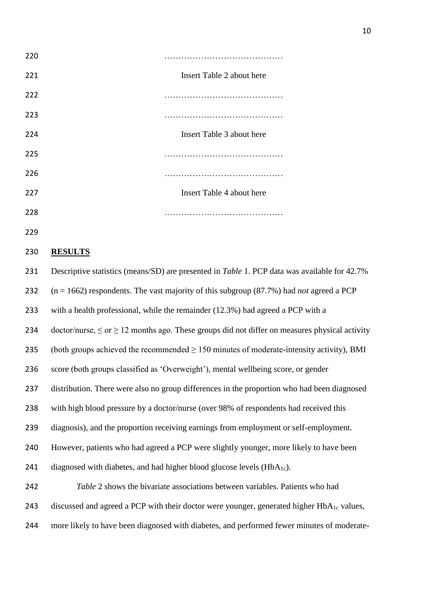

#### **RESULTS**

 Descriptive statistics (means/SD) are presented in *Table* 1. PCP data was available for 42.7% (n = 1662) respondents. The vast majority of this subgroup (87.7%) had *not* agreed a PCP with a health professional, while the remainder (12.3%) had agreed a PCP with a 234 doctor/nurse,  $\leq$  or  $>$  12 months ago. These groups did not differ on measures physical activity (both groups achieved the recommended ≥ 150 minutes of moderate-intensity activity), BMI score (both groups classified as 'Overweight'), mental wellbeing score, or gender distribution. There were also no group differences in the proportion who had been diagnosed with high blood pressure by a doctor/nurse (over 98% of respondents had received this diagnosis), and the proportion receiving earnings from employment or self-employment. However, patients who had agreed a PCP were slightly younger, more likely to have been 241 diagnosed with diabetes, and had higher blood glucose levels  $(HbA_{1c})$ . *Table* 2 shows the bivariate associations between variables. Patients who had 243 discussed and agreed a PCP with their doctor were younger, generated higher HbA<sub>1c</sub> values, more likely to have been diagnosed with diabetes, and performed fewer minutes of moderate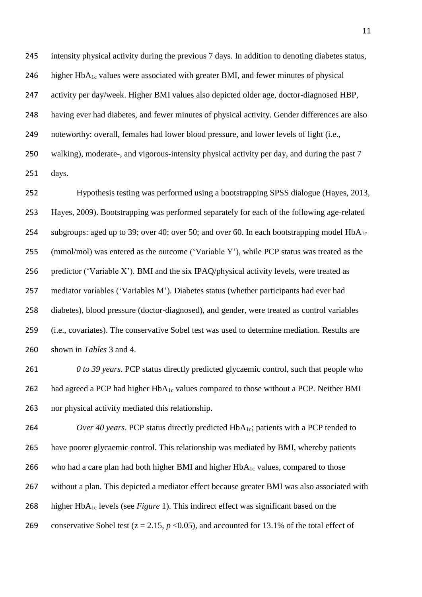intensity physical activity during the previous 7 days. In addition to denoting diabetes status, 246 higher  $HbA_{1c}$  values were associated with greater BMI, and fewer minutes of physical activity per day/week. Higher BMI values also depicted older age, doctor-diagnosed HBP, having ever had diabetes, and fewer minutes of physical activity. Gender differences are also noteworthy: overall, females had lower blood pressure, and lower levels of light (i.e., walking), moderate-, and vigorous-intensity physical activity per day, and during the past 7 days.

 Hypothesis testing was performed using a bootstrapping SPSS dialogue (Hayes, 2013, Hayes, 2009). Bootstrapping was performed separately for each of the following age-related 254 subgroups: aged up to 39; over 40; over 50; and over 60. In each bootstrapping model  $HbA_{1c}$  (mmol/mol) was entered as the outcome ('Variable Y'), while PCP status was treated as the 256 predictor ('Variable X'). BMI and the six IPAQ/physical activity levels, were treated as mediator variables ('Variables M'). Diabetes status (whether participants had ever had diabetes), blood pressure (doctor-diagnosed), and gender, were treated as control variables (i.e., covariates). The conservative Sobel test was used to determine mediation. Results are shown in *Tables* 3 and 4.

 *0 to 39 years*. PCP status directly predicted glycaemic control, such that people who 262 had agreed a PCP had higher  $HbA_{1c}$  values compared to those without a PCP. Neither BMI nor physical activity mediated this relationship.

*Over 40 years.* PCP status directly predicted HbA<sub>1c</sub>; patients with a PCP tended to have poorer glycaemic control. This relationship was mediated by BMI, whereby patients 266 who had a care plan had both higher BMI and higher  $HbA_{1c}$  values, compared to those without a plan. This depicted a mediator effect because greater BMI was also associated with higher HbA1c levels (see *Figure* 1). This indirect effect was significant based on the 269 conservative Sobel test  $(z = 2.15, p < 0.05)$ , and accounted for 13.1% of the total effect of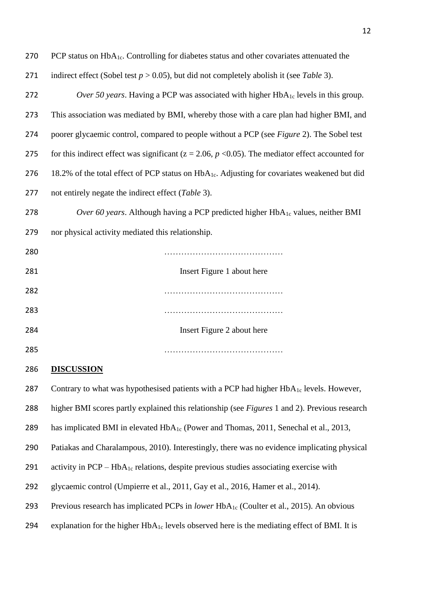| 270 | PCP status on $HbA_{1c}$ . Controlling for diabetes status and other covariates attenuated the           |
|-----|----------------------------------------------------------------------------------------------------------|
| 271 | indirect effect (Sobel test $p > 0.05$ ), but did not completely abolish it (see Table 3).               |
| 272 | <i>Over 50 years.</i> Having a PCP was associated with higher $HbA_{1c}$ levels in this group.           |
| 273 | This association was mediated by BMI, whereby those with a care plan had higher BMI, and                 |
| 274 | poorer glycaemic control, compared to people without a PCP (see Figure 2). The Sobel test                |
| 275 | for this indirect effect was significant ( $z = 2.06$ , $p < 0.05$ ). The mediator effect accounted for  |
| 276 | 18.2% of the total effect of PCP status on HbA <sub>1c</sub> . Adjusting for covariates weakened but did |
| 277 | not entirely negate the indirect effect ( <i>Table</i> 3).                                               |
| 278 | Over 60 years. Although having a PCP predicted higher $HbA_{1c}$ values, neither BMI                     |
| 279 | nor physical activity mediated this relationship.                                                        |

| 280 |                            |
|-----|----------------------------|
| 281 | Insert Figure 1 about here |
| 282 |                            |
| 283 |                            |
| 284 | Insert Figure 2 about here |
| 285 |                            |

## **DISCUSSION**

287 Contrary to what was hypothesised patients with a PCP had higher  $HbA_{1c}$  levels. However, higher BMI scores partly explained this relationship (see *Figures* 1 and 2). Previous research 289 has implicated BMI in elevated HbA<sub>1c</sub> (Power and Thomas, 2011, Senechal et al., 2013, Patiakas and Charalampous, 2010). Interestingly, there was no evidence implicating physical 291 activity in  $PCP - HbA_{1c}$  relations, despite previous studies associating exercise with glycaemic control (Umpierre et al., 2011, Gay et al., 2016, Hamer et al., 2014). Previous research has implicated PCPs in *lower* HbA1c (Coulter et al., 2015). An obvious 294 explanation for the higher  $HbA_{1c}$  levels observed here is the mediating effect of BMI. It is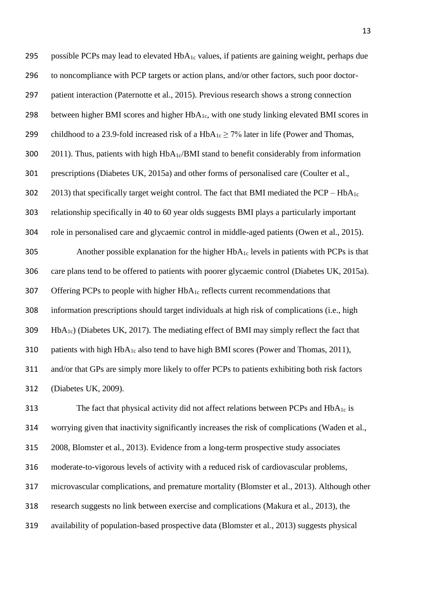| 295 | possible PCPs may lead to elevated HbA <sub>1c</sub> values, if patients are gaining weight, perhaps due |
|-----|----------------------------------------------------------------------------------------------------------|
| 296 | to noncompliance with PCP targets or action plans, and/or other factors, such poor doctor-               |
| 297 | patient interaction (Paternotte et al., 2015). Previous research shows a strong connection               |
| 298 | between higher BMI scores and higher HbA <sub>1c</sub> , with one study linking elevated BMI scores in   |
| 299 | childhood to a 23.9-fold increased risk of a $HbA_{1c} \ge 7\%$ later in life (Power and Thomas,         |
| 300 | 2011). Thus, patients with high $HbA_{1c}/BMI$ stand to benefit considerably from information            |
| 301 | prescriptions (Diabetes UK, 2015a) and other forms of personalised care (Coulter et al.,                 |
| 302 | 2013) that specifically target weight control. The fact that BMI mediated the $PCP - HbA_{1c}$           |
| 303 | relationship specifically in 40 to 60 year olds suggests BMI plays a particularly important              |
| 304 | role in personalised care and glycaemic control in middle-aged patients (Owen et al., 2015).             |
| 305 | Another possible explanation for the higher $HbA_{1c}$ levels in patients with PCPs is that              |
| 306 | care plans tend to be offered to patients with poorer glycaemic control (Diabetes UK, 2015a).            |
| 307 | Offering PCPs to people with higher HbA <sub>1c</sub> reflects current recommendations that              |
| 308 | information prescriptions should target individuals at high risk of complications (i.e., high            |
| 309 | $HbA_{1c}$ ) (Diabetes UK, 2017). The mediating effect of BMI may simply reflect the fact that           |
| 310 | patients with high HbA <sub>1c</sub> also tend to have high BMI scores (Power and Thomas, 2011),         |
| 311 | and/or that GPs are simply more likely to offer PCPs to patients exhibiting both risk factors            |
| 312 | (Diabetes UK, 2009).                                                                                     |

313 The fact that physical activity did not affect relations between PCPs and HbA<sub>1c</sub> is worrying given that inactivity significantly increases the risk of complications (Waden et al., 2008, Blomster et al., 2013). Evidence from a long-term prospective study associates moderate-to-vigorous levels of activity with a reduced risk of cardiovascular problems, microvascular complications, and premature mortality (Blomster et al., 2013). Although other research suggests no link between exercise and complications (Makura et al., 2013), the availability of population-based prospective data (Blomster et al., 2013) suggests physical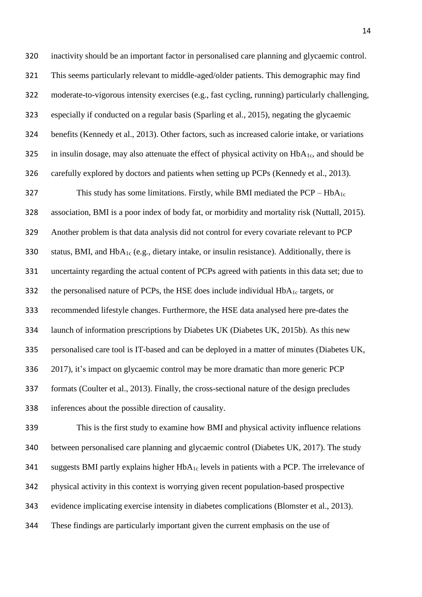inactivity should be an important factor in personalised care planning and glycaemic control. This seems particularly relevant to middle-aged/older patients. This demographic may find moderate-to-vigorous intensity exercises (e.g., fast cycling, running) particularly challenging, especially if conducted on a regular basis (Sparling et al., 2015), negating the glycaemic benefits (Kennedy et al., 2013). Other factors, such as increased calorie intake, or variations 325 in insulin dosage, may also attenuate the effect of physical activity on  $HbA<sub>1c</sub>$ , and should be carefully explored by doctors and patients when setting up PCPs (Kennedy et al., 2013). 327 This study has some limitations. Firstly, while BMI mediated the  $PCP - HbA<sub>1c</sub>$  association, BMI is a poor index of body fat, or morbidity and mortality risk (Nuttall, 2015). Another problem is that data analysis did not control for every covariate relevant to PCP 330 status, BMI, and  $HbA_{1c}$  (e.g., dietary intake, or insulin resistance). Additionally, there is uncertainty regarding the actual content of PCPs agreed with patients in this data set; due to 332 the personalised nature of PCPs, the HSE does include individual  $HbA_{1c}$  targets, or recommended lifestyle changes. Furthermore, the HSE data analysed here pre-dates the launch of information prescriptions by Diabetes UK (Diabetes UK, 2015b). As this new personalised care tool is IT-based and can be deployed in a matter of minutes (Diabetes UK, 2017), it's impact on glycaemic control may be more dramatic than more generic PCP formats (Coulter et al., 2013). Finally, the cross-sectional nature of the design precludes

inferences about the possible direction of causality.

 This is the first study to examine how BMI and physical activity influence relations between personalised care planning and glycaemic control (Diabetes UK, 2017). The study 341 suggests BMI partly explains higher  $HbA_{1c}$  levels in patients with a PCP. The irrelevance of physical activity in this context is worrying given recent population-based prospective evidence implicating exercise intensity in diabetes complications (Blomster et al., 2013). These findings are particularly important given the current emphasis on the use of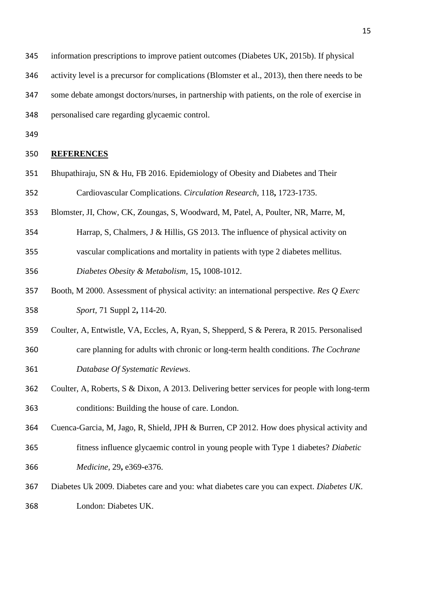- information prescriptions to improve patient outcomes (Diabetes UK, 2015b). If physical
- activity level is a precursor for complications (Blomster et al., 2013), then there needs to be
- some debate amongst doctors/nurses, in partnership with patients, on the role of exercise in
- personalised care regarding glycaemic control.
- 

## **REFERENCES**

- Bhupathiraju, SN & Hu, FB 2016. Epidemiology of Obesity and Diabetes and Their Cardiovascular Complications. *Circulation Research,* 118**,** 1723-1735.
- Blomster, JI, Chow, CK, Zoungas, S, Woodward, M, Patel, A, Poulter, NR, Marre, M,
- Harrap, S, Chalmers, J & Hillis, GS 2013. The influence of physical activity on
- vascular complications and mortality in patients with type 2 diabetes mellitus.
- *Diabetes Obesity & Metabolism,* 15**,** 1008-1012.
- Booth, M 2000. Assessment of physical activity: an international perspective. *Res Q Exerc Sport,* 71 Suppl 2**,** 114-20.
- Coulter, A, Entwistle, VA, Eccles, A, Ryan, S, Shepperd, S & Perera, R 2015. Personalised
- care planning for adults with chronic or long-term health conditions. *The Cochrane Database Of Systematic Reviews*.
- Coulter, A, Roberts, S & Dixon, A 2013. Delivering better services for people with long-term conditions: Building the house of care. London.
- Cuenca-Garcia, M, Jago, R, Shield, JPH & Burren, CP 2012. How does physical activity and
- fitness influence glycaemic control in young people with Type 1 diabetes? *Diabetic Medicine,* 29**,** e369-e376.
- Diabetes Uk 2009. Diabetes care and you: what diabetes care you can expect. *Diabetes UK.*
- London: Diabetes UK.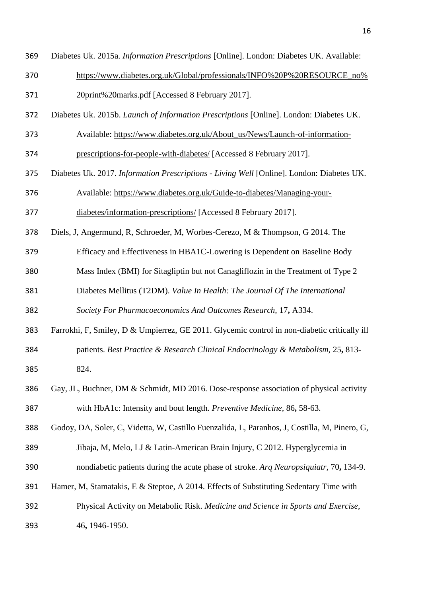- Diabetes Uk. 2015a. *Information Prescriptions* [Online]. London: Diabetes UK. Available:
- [https://www.diabetes.org.uk/Global/professionals/INFO%20P%20RESOURCE\\_no%](https://www.diabetes.org.uk/Global/professionals/INFO%20P%20RESOURCE_no%20print%20marks.pdf)
- [20print%20marks.pdf](https://www.diabetes.org.uk/Global/professionals/INFO%20P%20RESOURCE_no%20print%20marks.pdf) [Accessed 8 February 2017].
- Diabetes Uk. 2015b. *Launch of Information Prescriptions* [Online]. London: Diabetes UK.
- Available: [https://www.diabetes.org.uk/About\\_us/News/Launch-of-information-](https://www.diabetes.org.uk/About_us/News/Launch-of-information-prescriptions-for-people-with-diabetes/)
- [prescriptions-for-people-with-diabetes/](https://www.diabetes.org.uk/About_us/News/Launch-of-information-prescriptions-for-people-with-diabetes/) [Accessed 8 February 2017].
- Diabetes Uk. 2017. *Information Prescriptions - Living Well* [Online]. London: Diabetes UK.
- Available: [https://www.diabetes.org.uk/Guide-to-diabetes/Managing-your-](https://www.diabetes.org.uk/Guide-to-diabetes/Managing-your-diabetes/information-prescriptions/)
- [diabetes/information-prescriptions/](https://www.diabetes.org.uk/Guide-to-diabetes/Managing-your-diabetes/information-prescriptions/) [Accessed 8 February 2017].
- Diels, J, Angermund, R, Schroeder, M, Worbes-Cerezo, M & Thompson, G 2014. The

Efficacy and Effectiveness in HBA1C-Lowering is Dependent on Baseline Body

- Mass Index (BMI) for Sitagliptin but not Canagliflozin in the Treatment of Type 2
- Diabetes Mellitus (T2DM). *Value In Health: The Journal Of The International*

*Society For Pharmacoeconomics And Outcomes Research,* 17**,** A334.

- Farrokhi, F, Smiley, D & Umpierrez, GE 2011. Glycemic control in non-diabetic critically ill patients. *Best Practice & Research Clinical Endocrinology & Metabolism,* 25**,** 813- 824.
- Gay, JL, Buchner, DM & Schmidt, MD 2016. Dose-response association of physical activity
	- with HbA1c: Intensity and bout length. *Preventive Medicine,* 86**,** 58-63.

Godoy, DA, Soler, C, Videtta, W, Castillo Fuenzalida, L, Paranhos, J, Costilla, M, Pinero, G,

- Jibaja, M, Melo, LJ & Latin-American Brain Injury, C 2012. Hyperglycemia in
- nondiabetic patients during the acute phase of stroke. *Arq Neuropsiquiatr,* 70**,** 134-9.
- Hamer, M, Stamatakis, E & Steptoe, A 2014. Effects of Substituting Sedentary Time with
- Physical Activity on Metabolic Risk. *Medicine and Science in Sports and Exercise,*
- 46**,** 1946-1950.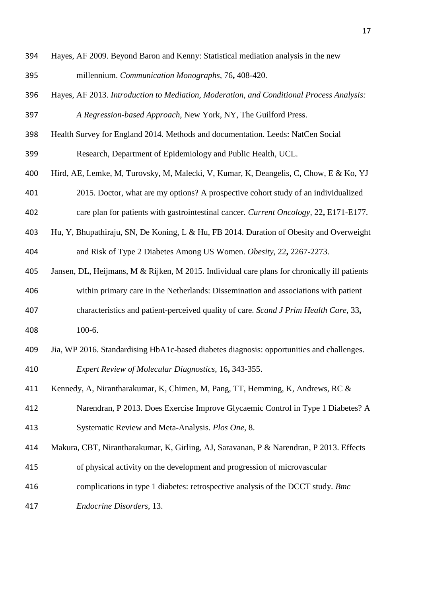- Hayes, AF 2009. Beyond Baron and Kenny: Statistical mediation analysis in the new millennium. *Communication Monographs,* 76**,** 408-420.
- Hayes, AF 2013. *Introduction to Mediation, Moderation, and Conditional Process Analysis: A Regression-based Approach,* New York, NY, The Guilford Press.
- Health Survey for England 2014. Methods and documentation. Leeds: NatCen Social

Research, Department of Epidemiology and Public Health, UCL.

- Hird, AE, Lemke, M, Turovsky, M, Malecki, V, Kumar, K, Deangelis, C, Chow, E & Ko, YJ
- 2015. Doctor, what are my options? A prospective cohort study of an individualized
- care plan for patients with gastrointestinal cancer. *Current Oncology,* 22**,** E171-E177.
- Hu, Y, Bhupathiraju, SN, De Koning, L & Hu, FB 2014. Duration of Obesity and Overweight and Risk of Type 2 Diabetes Among US Women. *Obesity,* 22**,** 2267-2273.
- Jansen, DL, Heijmans, M & Rijken, M 2015. Individual care plans for chronically ill patients within primary care in the Netherlands: Dissemination and associations with patient characteristics and patient-perceived quality of care. *Scand J Prim Health Care,* 33**,** 100-6.
- Jia, WP 2016. Standardising HbA1c-based diabetes diagnosis: opportunities and challenges.

*Expert Review of Molecular Diagnostics,* 16**,** 343-355.

- Kennedy, A, Nirantharakumar, K, Chimen, M, Pang, TT, Hemming, K, Andrews, RC &
- Narendran, P 2013. Does Exercise Improve Glycaemic Control in Type 1 Diabetes? A Systematic Review and Meta-Analysis. *Plos One,* 8.
- Makura, CBT, Nirantharakumar, K, Girling, AJ, Saravanan, P & Narendran, P 2013. Effects
- of physical activity on the development and progression of microvascular
- complications in type 1 diabetes: retrospective analysis of the DCCT study. *Bmc*
- *Endocrine Disorders,* 13.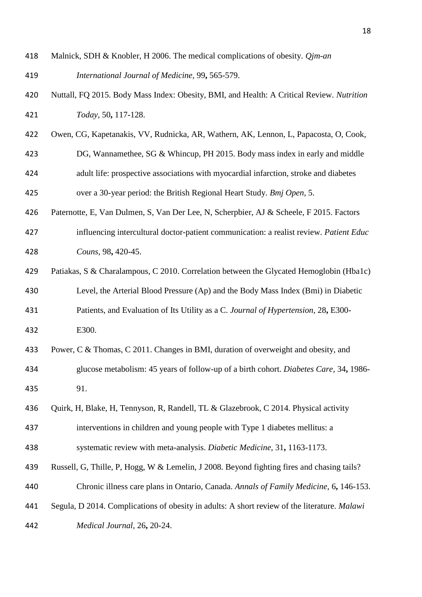- Malnick, SDH & Knobler, H 2006. The medical complications of obesity. *Qjm-an International Journal of Medicine,* 99**,** 565-579.
- Nuttall, FQ 2015. Body Mass Index: Obesity, BMI, and Health: A Critical Review. *Nutrition Today,* 50**,** 117-128.
- Owen, CG, Kapetanakis, VV, Rudnicka, AR, Wathern, AK, Lennon, L, Papacosta, O, Cook,
- DG, Wannamethee, SG & Whincup, PH 2015. Body mass index in early and middle
- adult life: prospective associations with myocardial infarction, stroke and diabetes
- over a 30-year period: the British Regional Heart Study. *Bmj Open,* 5.
- Paternotte, E, Van Dulmen, S, Van Der Lee, N, Scherpbier, AJ & Scheele, F 2015. Factors
- influencing intercultural doctor-patient communication: a realist review. *Patient Educ Couns,* 98**,** 420-45.
- Patiakas, S & Charalampous, C 2010. Correlation between the Glycated Hemoglobin (Hba1c) Level, the Arterial Blood Pressure (Ap) and the Body Mass Index (Bmi) in Diabetic
- Patients, and Evaluation of Its Utility as a C. *Journal of Hypertension,* 28**,** E300- E300.
- Power, C & Thomas, C 2011. Changes in BMI, duration of overweight and obesity, and
- glucose metabolism: 45 years of follow-up of a birth cohort. *Diabetes Care,* 34**,** 1986- 91.
- Quirk, H, Blake, H, Tennyson, R, Randell, TL & Glazebrook, C 2014. Physical activity
- interventions in children and young people with Type 1 diabetes mellitus: a
- systematic review with meta-analysis. *Diabetic Medicine,* 31**,** 1163-1173.
- Russell, G, Thille, P, Hogg, W & Lemelin, J 2008. Beyond fighting fires and chasing tails? Chronic illness care plans in Ontario, Canada. *Annals of Family Medicine,* 6**,** 146-153.
- Segula, D 2014. Complications of obesity in adults: A short review of the literature. *Malawi*
- *Medical Journal,* 26**,** 20-24.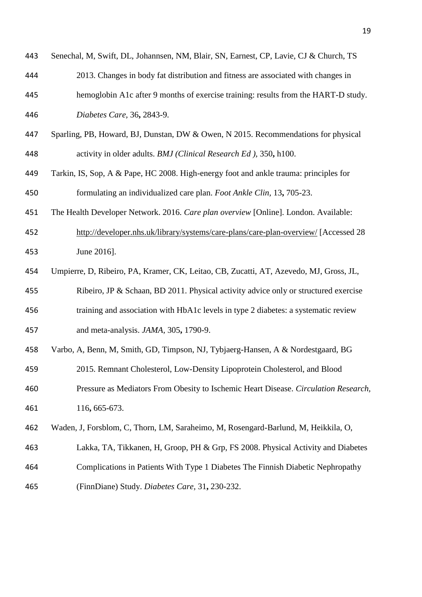| 443 | Senechal, M, Swift, DL, Johannsen, NM, Blair, SN, Earnest, CP, Lavie, CJ & Church, TS  |
|-----|----------------------------------------------------------------------------------------|
| 444 | 2013. Changes in body fat distribution and fitness are associated with changes in      |
| 445 | hemoglobin A1c after 9 months of exercise training: results from the HART-D study.     |
| 446 | Diabetes Care, 36, 2843-9.                                                             |
| 447 | Sparling, PB, Howard, BJ, Dunstan, DW & Owen, N 2015. Recommendations for physical     |
| 448 | activity in older adults. BMJ (Clinical Research Ed ), 350, h100.                      |
| 449 | Tarkin, IS, Sop, A & Pape, HC 2008. High-energy foot and ankle trauma: principles for  |
| 450 | formulating an individualized care plan. Foot Ankle Clin, 13, 705-23.                  |
| 451 | The Health Developer Network. 2016. Care plan overview [Online]. London. Available:    |
| 452 | http://developer.nhs.uk/library/systems/care-plans/care-plan-overview/ [Accessed 28    |
| 453 | June 2016].                                                                            |
| 454 | Umpierre, D, Ribeiro, PA, Kramer, CK, Leitao, CB, Zucatti, AT, Azevedo, MJ, Gross, JL, |
| 455 | Ribeiro, JP & Schaan, BD 2011. Physical activity advice only or structured exercise    |
| 456 | training and association with HbA1c levels in type 2 diabetes: a systematic review     |
| 457 | and meta-analysis. JAMA, 305, 1790-9.                                                  |
| 458 | Varbo, A, Benn, M, Smith, GD, Timpson, NJ, Tybjaerg-Hansen, A & Nordestgaard, BG       |
| 459 | 2015. Remnant Cholesterol, Low-Density Lipoprotein Cholesterol, and Blood              |
| 460 | Pressure as Mediators From Obesity to Ischemic Heart Disease. Circulation Research,    |
| 461 | 116, 665-673.                                                                          |
| 462 | Waden, J, Forsblom, C, Thorn, LM, Saraheimo, M, Rosengard-Barlund, M, Heikkila, O,     |
| 463 | Lakka, TA, Tikkanen, H, Groop, PH & Grp, FS 2008. Physical Activity and Diabetes       |
| 464 | Complications in Patients With Type 1 Diabetes The Finnish Diabetic Nephropathy        |
| 465 | (FinnDiane) Study. Diabetes Care, 31, 230-232.                                         |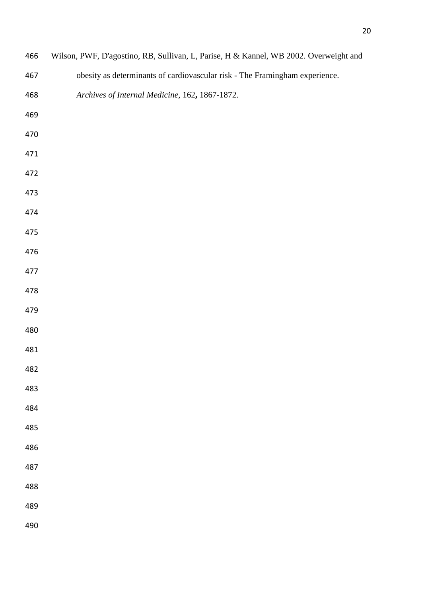| 466        | Wilson, PWF, D'agostino, RB, Sullivan, L, Parise, H & Kannel, WB 2002. Overweight and |
|------------|---------------------------------------------------------------------------------------|
| 467        | obesity as determinants of cardiovascular risk - The Framingham experience.           |
| 468        | Archives of Internal Medicine, 162, 1867-1872.                                        |
| 469        |                                                                                       |
| 470        |                                                                                       |
| 471        |                                                                                       |
| 472        |                                                                                       |
| 473        |                                                                                       |
| 474        |                                                                                       |
| 475        |                                                                                       |
| 476        |                                                                                       |
| 477        |                                                                                       |
| 478        |                                                                                       |
| 479        |                                                                                       |
| 480        |                                                                                       |
| 481        |                                                                                       |
| 482        |                                                                                       |
| 483<br>484 |                                                                                       |
| 485        |                                                                                       |
| 486        |                                                                                       |
| 487        |                                                                                       |
| 488        |                                                                                       |
| 489        |                                                                                       |
| 490        |                                                                                       |
|            |                                                                                       |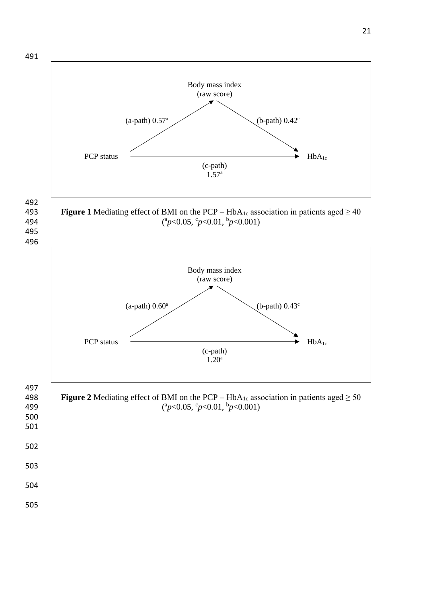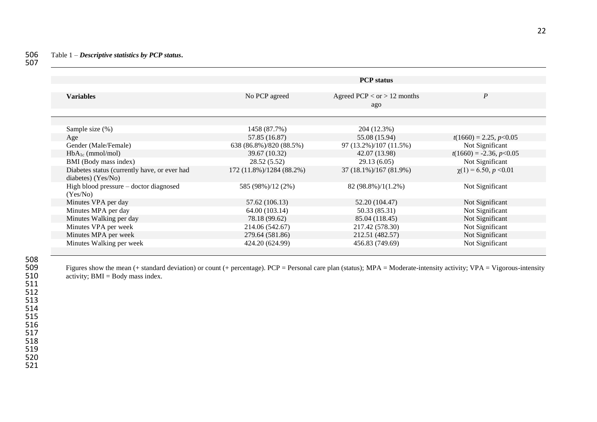|                                              |                          | <b>PCP</b> status             |                            |  |
|----------------------------------------------|--------------------------|-------------------------------|----------------------------|--|
|                                              |                          |                               |                            |  |
| <b>Variables</b>                             | No PCP agreed            | Agreed PCP < $or$ > 12 months | $\boldsymbol{P}$           |  |
|                                              |                          | ago                           |                            |  |
|                                              |                          |                               |                            |  |
|                                              |                          |                               |                            |  |
| Sample size (%)                              | 1458 (87.7%)             | 204 (12.3%)                   |                            |  |
| Age                                          | 57.85 (16.87)            | 55.08 (15.94)                 | $t(1660) = 2.25, p<0.05$   |  |
| Gender (Male/Female)                         | 638 (86.8%)/820 (88.5%)  | 97 (13.2%)/107 (11.5%)        | Not Significant            |  |
| $HbA_{1c}$ (mmol/mol)                        | 39.67 (10.32)            | 42.07 (13.98)                 | $t(1660) = -2.36, p<0.05$  |  |
| BMI (Body mass index)                        | 28.52 (5.52)             | 29.13(6.05)                   | Not Significant            |  |
| Diabetes status (currently have, or ever had | 172 (11.8%)/1284 (88.2%) | 37 (18.1%)/167 (81.9%)        | $\chi(1) = 6.50, p < 0.01$ |  |
| diabetes) (Yes/No)                           |                          |                               |                            |  |
| High blood pressure – doctor diagnosed       | 585 (98%)/12 (2%)        | 82 (98.8%)/1(1.2%)            | Not Significant            |  |
| (Yes/No)                                     |                          |                               |                            |  |
| Minutes VPA per day                          | 57.62 (106.13)           | 52.20 (104.47)                | Not Significant            |  |
| Minutes MPA per day                          | 64.00 (103.14)           | 50.33 (85.31)                 | Not Significant            |  |
| Minutes Walking per day                      | 78.18 (99.62)            | 85.04 (118.45)                | Not Significant            |  |
| Minutes VPA per week                         | 214.06 (542.67)          | 217.42 (578.30)               | Not Significant            |  |
| Minutes MPA per week                         | 279.64 (581.86)          | 212.51 (482.57)               | Not Significant            |  |
| Minutes Walking per week                     | 424.20 (624.99)          | 456.83 (749.69)               | Not Significant            |  |
|                                              |                          |                               |                            |  |

509 Figures show the mean (+ standard deviation) or count (+ percentage). PCP = Personal care plan (status); MPA = Moderate-intensity activity; VPA = Vigorous-intensity activity; BMI = Body mass index. activity;  $BMI = Body$  mass index.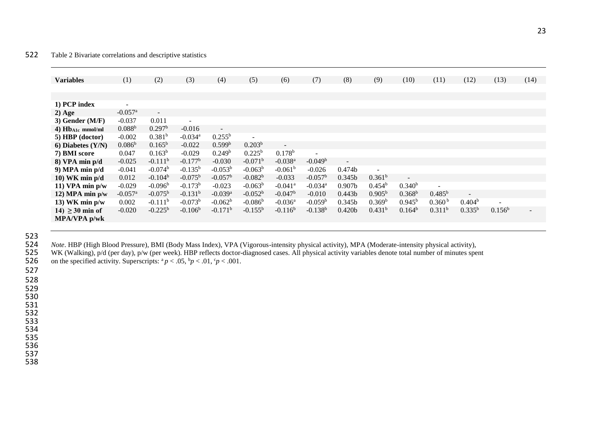### 522 Table 2 Bivariate correlations and descriptive statistics

| <b>Variables</b>      | (1)                      | (2)                   | (3)                   | (4)                   | (5)                   | (6)                      | (7)                      | (8)                | (9)                | (10)               | (11)                     | (12)                     | (13)      | (14) |
|-----------------------|--------------------------|-----------------------|-----------------------|-----------------------|-----------------------|--------------------------|--------------------------|--------------------|--------------------|--------------------|--------------------------|--------------------------|-----------|------|
|                       |                          |                       |                       |                       |                       |                          |                          |                    |                    |                    |                          |                          |           |      |
|                       |                          |                       |                       |                       |                       |                          |                          |                    |                    |                    |                          |                          |           |      |
| 1) PCP index          | $\overline{\phantom{a}}$ |                       |                       |                       |                       |                          |                          |                    |                    |                    |                          |                          |           |      |
| $2)$ Age              | $-0.057$ <sup>a</sup>    | $\sim$                |                       |                       |                       |                          |                          |                    |                    |                    |                          |                          |           |      |
| $3)$ Gender (M/F)     | $-0.037$                 | 0.011                 | $\overline{a}$        |                       |                       |                          |                          |                    |                    |                    |                          |                          |           |      |
| 4) $Hb_{A1c}$ mmol/ml | 0.088 <sup>b</sup>       | 0.297 <sup>b</sup>    | $-0.016$              | $\sim$                |                       |                          |                          |                    |                    |                    |                          |                          |           |      |
| 5) HBP (doctor)       | $-0.002$                 | 0.381 <sup>b</sup>    | $-0.034$ <sup>a</sup> | $0.255^{\rm b}$       | $\sim$                |                          |                          |                    |                    |                    |                          |                          |           |      |
| 6) Diabetes $(Y/N)$   | $0.086^{b}$              | $0.165^{b}$           | $-0.022$              | 0.599 <sup>b</sup>    | 0.203 <sup>b</sup>    | $\overline{\phantom{a}}$ |                          |                    |                    |                    |                          |                          |           |      |
| 7) BMI score          | 0.047                    | $0.163^{b}$           | $-0.029$              | 0.249 <sup>b</sup>    | $0.225^{\rm b}$       | $0.178^{b}$              | $\overline{\phantom{a}}$ |                    |                    |                    |                          |                          |           |      |
| $8)$ VPA min $p/d$    | $-0.025$                 | $-0.111$ <sup>b</sup> | $-0.177b$             | $-0.030$              | $-0.071$ <sup>b</sup> | $-0.038$ <sup>a</sup>    | $-0.049b$                | $\sim$             |                    |                    |                          |                          |           |      |
| 9) MPA min $p/d$      | $-0.041$                 | $-0.074b$             | $-0.135^{b}$          | $-0.053b$             | $-0.063b$             | $-0.061b$                | $-0.026$                 | 0.474b             | $\sim$             |                    |                          |                          |           |      |
| 10) WK min $p/d$      | 0.012                    | $-0.104^{b}$          | $-0.075^{b}$          | $-0.057b$             | $-0.082b$             | $-0.033$                 | $-0.057b$                | 0.345 <sub>b</sub> | 0.361 <sup>b</sup> | $\blacksquare$     |                          |                          |           |      |
| 11) VPA min $p/w$     | $-0.029$                 | $-0.096b$             | $-0.173b$             | $-0.023$              | $-0.063b$             | $-0.041$ <sup>a</sup>    | $-0.034$ <sup>a</sup>    | 0.907 <sub>b</sub> | 0.454 <sup>b</sup> | 0.340 <sup>b</sup> | $\overline{\phantom{a}}$ |                          |           |      |
| $12)$ MPA min $p/w$   | $-0.057$ <sup>a</sup>    | $-0.075^{b}$          | $-0.131^{b}$          | $-0.039$ <sup>a</sup> | $-0.052b$             | $-0.047b$                | $-0.010$                 | 0.443 <sub>b</sub> | $0.905^{b}$        | $0.368^{b}$        | $0.485^{b}$              | $\overline{\phantom{0}}$ |           |      |
| 13) WK min $p/w$      | 0.002                    | $-0.111$ <sup>b</sup> | $-0.073b$             | $-0.062b$             | $-0.086^{\rm b}$      | $-0.036$ <sup>a</sup>    | $-0.059b$                | 0.345b             | 0.369 <sup>b</sup> | $0.945^{\rm b}$    | 0.360 <sup>b</sup>       | $0.404^b$                |           |      |
| $14) \geq 30$ min of  | $-0.020$                 | $-0.225^{b}$          | $-0.106b$             | $-0.171$ <sup>b</sup> | $-0.155^{b}$          | $-0.116^b$               | $-0.138^{b}$             | 0.420 <sub>b</sub> | 0.431 <sup>b</sup> | 0.164 <sup>b</sup> | 0.311 <sup>b</sup>       | $0.335^{b}$              | $0.156^b$ |      |
| MPA/VPA p/wk          |                          |                       |                       |                       |                       |                          |                          |                    |                    |                    |                          |                          |           |      |
|                       |                          |                       |                       |                       |                       |                          |                          |                    |                    |                    |                          |                          |           |      |

523

*Note*. HBP (High Blood Pressure), BMI (Body Mass Index), VPA (Vigorous-intensity physical activity), MPA (Moderate-intensity physical activity), 525 WK (Walking), p/d (per day), p/w (per week). HBP reflects doctor-diagnos

525 WK (Walking), p/d (per day), p/w (per week). HBP reflects doctor-diagnosed cases. All physical activity variables denote total number of minutes spent 526 on the specified activity. Superscripts:  ${}^a p < .05$ ,  ${}^b p < .01$ ,  ${}^c p < .001$ .

527

528

529

530

531 532

533

534

535

536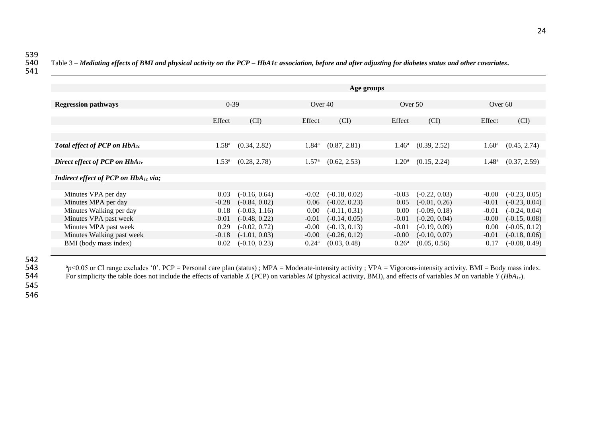541

|                                                  | Age groups     |                 |                |                 |                |                 |                   |                 |  |
|--------------------------------------------------|----------------|-----------------|----------------|-----------------|----------------|-----------------|-------------------|-----------------|--|
|                                                  |                |                 |                |                 |                |                 |                   |                 |  |
| <b>Regression pathways</b>                       | $0-39$         |                 |                | Over 40         |                | Over $50$       |                   | Over $60$       |  |
|                                                  |                |                 |                |                 |                |                 |                   |                 |  |
|                                                  | Effect         | (CI)            | Effect         | (CI)            | Effect         | (CI)            | Effect            | (CI)            |  |
|                                                  |                |                 |                |                 |                |                 |                   |                 |  |
| Total effect of PCP on HbA <sub>1c</sub>         | $1.58^{\rm a}$ | (0.34, 2.82)    | $1.84^{\rm a}$ | (0.87, 2.81)    | $1.46^{\rm a}$ | (0.39, 2.52)    | 1.60 <sup>a</sup> | (0.45, 2.74)    |  |
|                                                  |                |                 |                |                 |                |                 |                   |                 |  |
| Direct effect of PCP on $HbA_{1c}$               | $1.53^{\rm a}$ | (0.28, 2.78)    | $1.57^{\rm a}$ | (0.62, 2.53)    | $1.20^{\rm a}$ | (0.15, 2.24)    | $1.48^{\rm a}$    | (0.37, 2.59)    |  |
|                                                  |                |                 |                |                 |                |                 |                   |                 |  |
| Indirect effect of PCP on HbA <sub>1c</sub> via; |                |                 |                |                 |                |                 |                   |                 |  |
|                                                  |                |                 |                |                 |                |                 |                   |                 |  |
| Minutes VPA per day                              | 0.03           | $(-0.16, 0.64)$ | $-0.02$        | $(-0.18, 0.02)$ | $-0.03$        | $(-0.22, 0.03)$ | $-0.00$           | $(-0.23, 0.05)$ |  |
| Minutes MPA per day                              | $-0.28$        | $(-0.84, 0.02)$ | 0.06           | $(-0.02, 0.23)$ | 0.05           | $(-0.01, 0.26)$ | $-0.01$           | $(-0.23, 0.04)$ |  |
| Minutes Walking per day                          | 0.18           | $(-0.03, 1.16)$ | 0.00           | $(-0.11, 0.31)$ | 0.00           | $(-0.09, 0.18)$ | $-0.01$           | $(-0.24, 0.04)$ |  |
| Minutes VPA past week                            | $-0.01$        | $(-0.48, 0.22)$ | $-0.01$        | $(-0.14, 0.05)$ | $-0.01$        | $(-0.20, 0.04)$ | $-0.00$           | $(-0.15, 0.08)$ |  |
| Minutes MPA past week                            | 0.29           | $(-0.02, 0.72)$ | $-0.00$        | $(-0.13, 0.13)$ | $-0.01$        | $(-0.19, 0.09)$ | 0.00              | $(-0.05, 0.12)$ |  |
| Minutes Walking past week                        | $-0.18$        | $(-1.01, 0.03)$ | $-0.00$        | $(-0.26, 0.12)$ | $-0.00$        | $(-0.10, 0.07)$ | $-0.01$           | $(-0.18, 0.06)$ |  |
| BMI (body mass index)                            | 0.02           | $(-0.10, 0.23)$ | $0.24^{\rm a}$ | (0.03, 0.48)    | $0.26^{\rm a}$ | (0.05, 0.56)    | 0.17              | $(-0.08, 0.49)$ |  |

542<br>543

543 <sup>a</sup>p<0.05 or CI range excludes '0'. PCP = Personal care plan (status) ; MPA = Moderate-intensity activity ; VPA = Vigorous-intensity activity. BMI = Body mass index.<br>544 For simplicity the table does not include the e For simplicity the table does not include the effects of variable *X* (PCP) on variables *M* (physical activity, BMI), and effects of variables *M* on variable *Y* (*HbA*<sub>*Ic*</sub>).